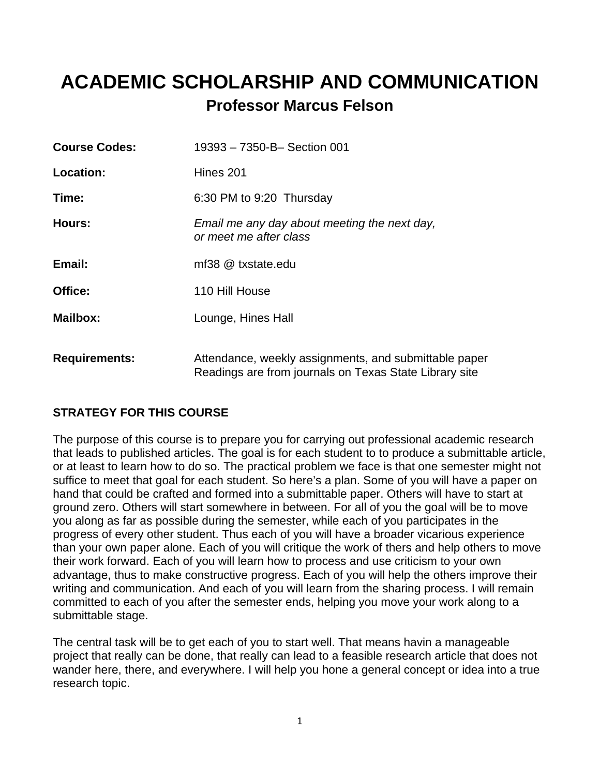## **ACADEMIC SCHOLARSHIP AND COMMUNICATION Professor Marcus Felson**

| <b>Course Codes:</b> | 19393 - 7350-B- Section 001                                                                                     |
|----------------------|-----------------------------------------------------------------------------------------------------------------|
| Location:            | Hines 201                                                                                                       |
| Time:                | 6:30 PM to 9:20 Thursday                                                                                        |
| Hours:               | Email me any day about meeting the next day,<br>or meet me after class                                          |
| Email:               | mf38 @ txstate.edu                                                                                              |
| Office:              | 110 Hill House                                                                                                  |
| <b>Mailbox:</b>      | Lounge, Hines Hall                                                                                              |
| <b>Requirements:</b> | Attendance, weekly assignments, and submittable paper<br>Readings are from journals on Texas State Library site |

## **STRATEGY FOR THIS COURSE**

The purpose of this course is to prepare you for carrying out professional academic research that leads to published articles. The goal is for each student to to produce a submittable article, or at least to learn how to do so. The practical problem we face is that one semester might not suffice to meet that goal for each student. So here's a plan. Some of you will have a paper on hand that could be crafted and formed into a submittable paper. Others will have to start at ground zero. Others will start somewhere in between. For all of you the goal will be to move you along as far as possible during the semester, while each of you participates in the progress of every other student. Thus each of you will have a broader vicarious experience than your own paper alone. Each of you will critique the work of thers and help others to move their work forward. Each of you will learn how to process and use criticism to your own advantage, thus to make constructive progress. Each of you will help the others improve their writing and communication. And each of you will learn from the sharing process. I will remain committed to each of you after the semester ends, helping you move your work along to a submittable stage.

The central task will be to get each of you to start well. That means havin a manageable project that really can be done, that really can lead to a feasible research article that does not wander here, there, and everywhere. I will help you hone a general concept or idea into a true research topic.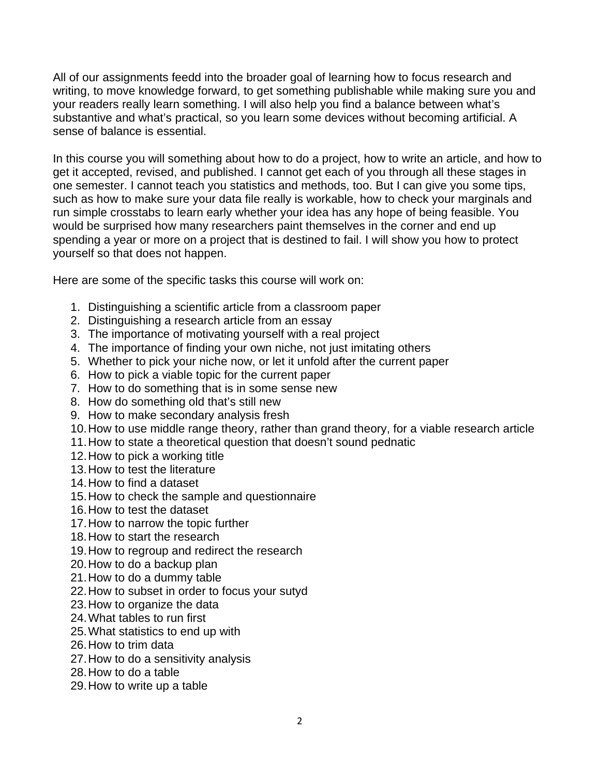All of our assignments feedd into the broader goal of learning how to focus research and writing, to move knowledge forward, to get something publishable while making sure you and your readers really learn something. I will also help you find a balance between what's substantive and what's practical, so you learn some devices without becoming artificial. A sense of balance is essential.

In this course you will something about how to do a project, how to write an article, and how to get it accepted, revised, and published. I cannot get each of you through all these stages in one semester. I cannot teach you statistics and methods, too. But I can give you some tips, such as how to make sure your data file really is workable, how to check your marginals and run simple crosstabs to learn early whether your idea has any hope of being feasible. You would be surprised how many researchers paint themselves in the corner and end up spending a year or more on a project that is destined to fail. I will show you how to protect yourself so that does not happen.

Here are some of the specific tasks this course will work on:

- 1. Distinguishing a scientific article from a classroom paper
- 2. Distinguishing a research article from an essay
- 3. The importance of motivating yourself with a real project
- 4. The importance of finding your own niche, not just imitating others
- 5. Whether to pick your niche now, or let it unfold after the current paper
- 6. How to pick a viable topic for the current paper
- 7. How to do something that is in some sense new
- 8. How do something old that's still new
- 9. How to make secondary analysis fresh
- 10. How to use middle range theory, rather than grand theory, for a viable research article
- 11. How to state a theoretical question that doesn't sound pednatic
- 12. How to pick a working title
- 13. How to test the literature
- 14. How to find a dataset
- 15. How to check the sample and questionnaire
- 16. How to test the dataset
- 17. How to narrow the topic further
- 18. How to start the research
- 19. How to regroup and redirect the research
- 20. How to do a backup plan
- 21. How to do a dummy table
- 22. How to subset in order to focus your sutyd
- 23. How to organize the data
- 24. What tables to run first
- 25. What statistics to end up with
- 26. How to trim data
- 27. How to do a sensitivity analysis
- 28. How to do a table
- 29. How to write up a table